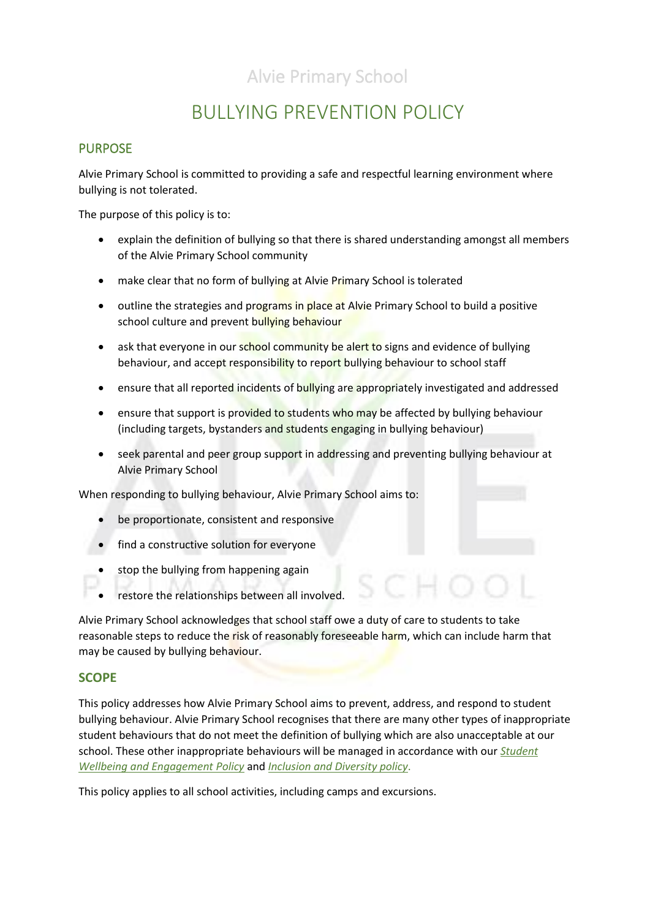# BULLYING PREVENTION POLICY

### **PURPOSE**

Alvie Primary School is committed to providing a safe and respectful learning environment where bullying is not tolerated.

The purpose of this policy is to:

- explain the definition of bullying so that there is shared understanding amongst all members of the Alvie Primary School community
- make clear that no form of bullying at Alvie Primary School is tolerated
- outline the strategies and programs in place at Alvie Primary School to build a positive school culture and prevent bullying behaviour
- ask that everyone in our school community be alert to signs and evidence of bullying behaviour, and accept responsibility to report bullying behaviour to school staff
- ensure that all reported incidents of bullying are appropriately investigated and addressed
- ensure that support is provided to students who may be affected by bullying behaviour (including targets, bystanders and students engaging in bullying behaviour)
- seek parental and peer group support in addressing and preventing bullying behaviour at Alvie Primary School

When responding to bullying behaviour, Alvie Primary School aims to:

- be proportionate, consistent and responsive
- find a constructive solution for everyone
- stop the bullying from happening again
- restore the relationships between all involved.

Alvie Primary School acknowledges that school staff owe a duty of care to students to take reasonable steps to reduce the risk of reasonably foreseeable harm, which can include harm that may be caused by bullying behaviour.

#### **SCOPE**

This policy addresses how Alvie Primary School aims to prevent, address, and respond to student bullying behaviour. Alvie Primary School recognises that there are many other types of inappropriate student behaviours that do not meet the definition of bullying which are also unacceptable at our school. These other inappropriate behaviours will be managed in accordance with our *Student Wellbeing and Engagement Policy* and *Inclusion and Diversity policy*.

This policy applies to all school activities, including camps and excursions.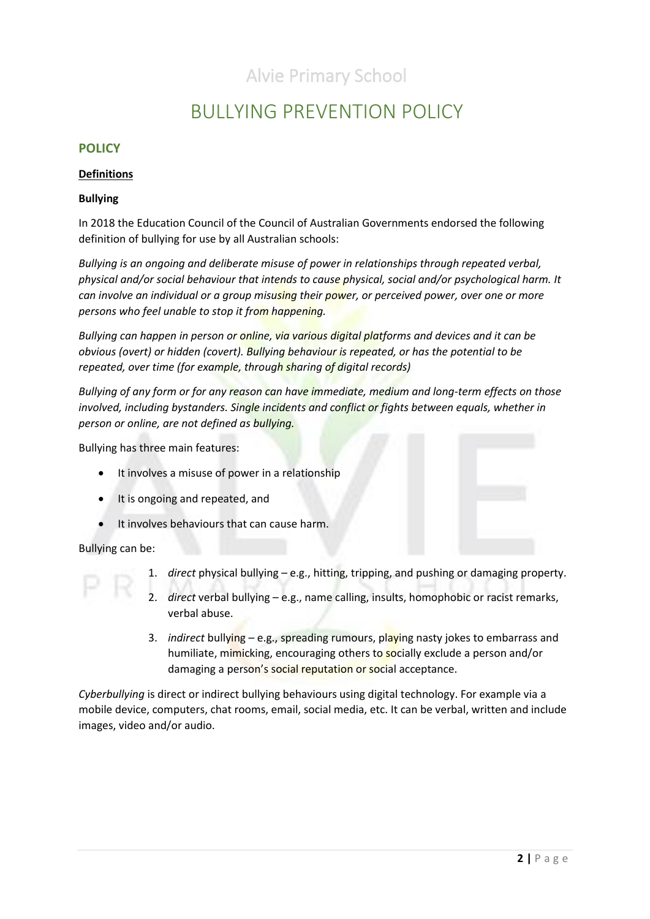### BULLYING PREVENTION POLICY

### **POLICY**

#### **Definitions**

#### **Bullying**

In 2018 the Education Council of the Council of Australian Governments endorsed the following definition of bullying for use by all Australian schools:

*Bullying is an ongoing and deliberate misuse of power in relationships through repeated verbal, physical and/or social behaviour that intends to cause physical, social and/or psychological harm. It can involve an individual or a group misusing their power, or perceived power, over one or more persons who feel unable to stop it from happening.*

*Bullying can happen in person or online, via various digital platforms and devices and it can be obvious (overt) or hidden (covert). Bullying behaviour is repeated, or has the potential to be repeated, over time (for example, through sharing of digital records)*

*Bullying of any form or for any reason can have immediate, medium and long-term effects on those involved, including bystanders. Single incidents and conflict or fights between equals, whether in person or online, are not defined as bullying.* 

Bullying has three main features:

- It involves a misuse of power in a relationship
- It is ongoing and repeated, and
- It involves behaviours that can cause harm.

Bullying can be:

- 1. *direct* physical bullying e.g., hitting, tripping, and pushing or damaging property.
- 2. *direct* verbal bullying e.g., name calling, insults, homophobic or racist remarks, verbal abuse.
- 3. *indirect* bullying e.g., spreading rumours, playing nasty jokes to embarrass and humiliate, mimicking, encouraging others to socially exclude a person and/or damaging a person's social reputation or social acceptance.

*Cyberbullying* is direct or indirect bullying behaviours using digital technology. For example via a mobile device, computers, chat rooms, email, social media, etc. It can be verbal, written and include images, video and/or audio.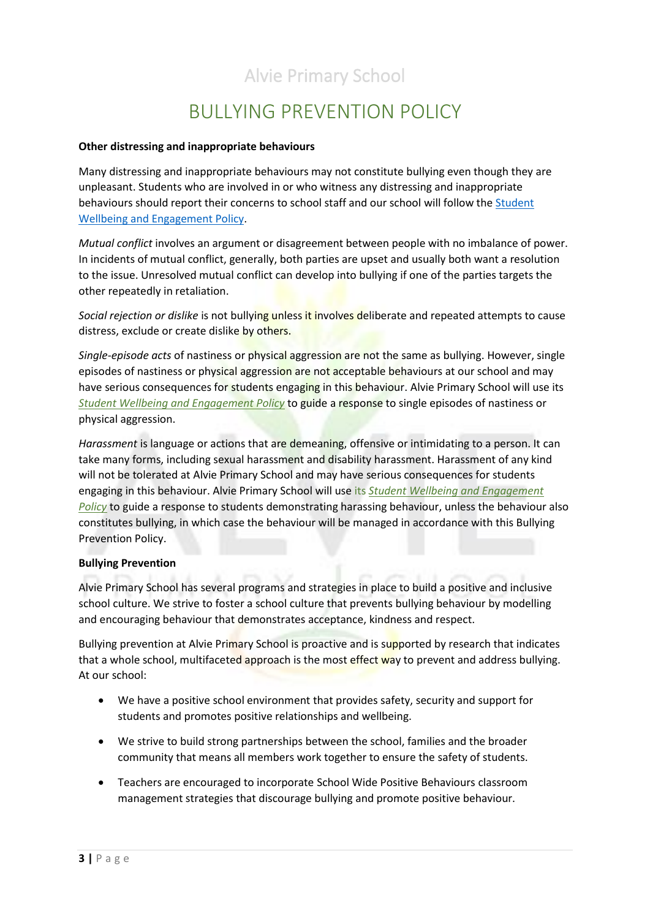# BULLYING PREVENTION POLICY

#### **Other distressing and inappropriate behaviours**

Many distressing and inappropriate behaviours may not constitute bullying even though they are unpleasant. Students who are involved in or who witness any distressing and inappropriate behaviours should report their concerns to school staff and our school will follow the [Student](file://///6201AFS01/Users/POLICIES/To%20be%20updated/Student%20Wellbeing%20and%20Engagement%20Policy%202019.pdf)  [Wellbeing and Engagement Policy.](file://///6201AFS01/Users/POLICIES/To%20be%20updated/Student%20Wellbeing%20and%20Engagement%20Policy%202019.pdf)

*Mutual conflict* involves an argument or disagreement between people with no imbalance of power. In incidents of mutual conflict, generally, both parties are upset and usually both want a resolution to the issue. Unresolved mutual conflict can develop into bullying if one of the parties targets the other repeatedly in retaliation.

*Social rejection or dislike* is not bullying unless it involves deliberate and repeated attempts to cause distress, exclude or create dislike by others.

*Single-episode acts* of nastiness or physical aggression are not the same as bullying. However, single episodes of nastiness or physical aggression are not acceptable behaviours at our school and may have serious consequences for students engaging in this behaviour. Alvie Primary School will use its *[Student Wellbeing and Engagement Policy](file://///6201AFS01/Users/POLICIES/To%20be%20updated/Student%20Wellbeing%20and%20Engagement%20Policy%202019.pdf)* to guide a response to single episodes of nastiness or physical aggression.

*Harassment* is language or actions that are demeaning, offensive or intimidating to a person. It can take many forms, including sexual harassment and disability harassment. Harassment of any kind will not be tolerated at Alvie Primary School and may have serious consequences for students engaging in this behaviour. Alvie Primary School will use its *[Student Wellbeing and Engagement](file://///6201AFS01/Users/POLICIES/To%20be%20updated/Student%20Wellbeing%20and%20Engagement%20Policy%202019.pdf)* **[Policy](file://///6201AFS01/Users/POLICIES/To%20be%20updated/Student%20Wellbeing%20and%20Engagement%20Policy%202019.pdf)** to guide a response to students demonstrating harassing behaviour, unless the behaviour also constitutes bullying, in which case the behaviour will be managed in accordance with this Bullying Prevention Policy.

#### **Bullying Prevention**

Alvie Primary School has several programs and strategies in place to build a positive and inclusive school culture. We strive to foster a school culture that prevents bullying behaviour by modelling and encouraging behaviour that demonstrates acceptance, kindness and respect.

Bullying prevention at Alvie Primary School is proactive and is supported by research that indicates that a whole school, multifaceted approach is the most effect way to prevent and address bullying. At our school:

- We have a positive school environment that provides safety, security and support for students and promotes positive relationships and wellbeing.
- We strive to build strong partnerships between the school, families and the broader community that means all members work together to ensure the safety of students.
- Teachers are encouraged to incorporate School Wide Positive Behaviours classroom management strategies that discourage bullying and promote positive behaviour.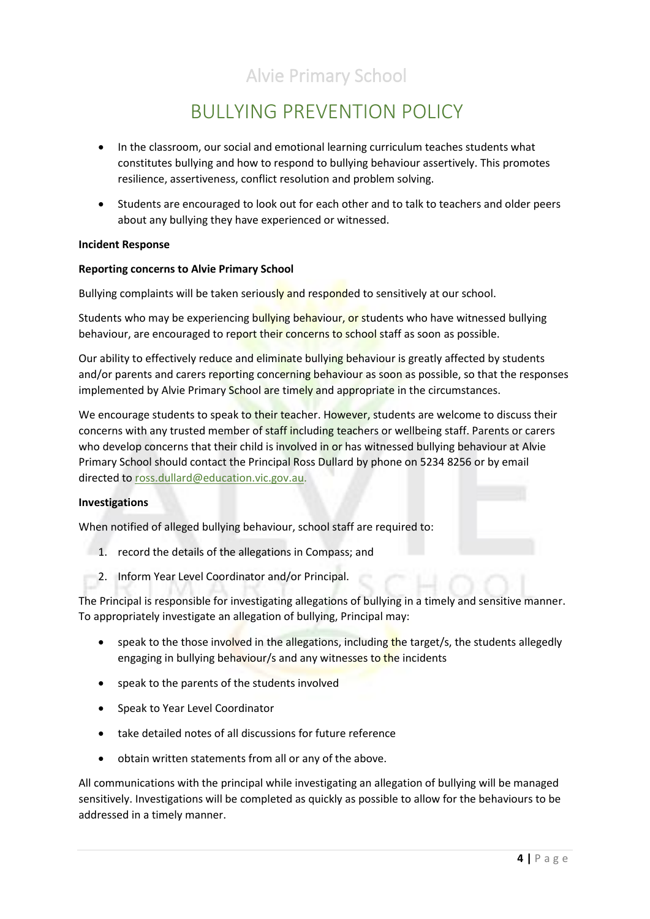# BULLYING PREVENTION POLICY

- In the classroom, our social and emotional learning curriculum teaches students what constitutes bullying and how to respond to bullying behaviour assertively. This promotes resilience, assertiveness, conflict resolution and problem solving.
- Students are encouraged to look out for each other and to talk to teachers and older peers about any bullying they have experienced or witnessed.

#### **Incident Response**

#### **Reporting concerns to Alvie Primary School**

Bullying complaints will be taken seriously and responded to sensitively at our school.

Students who may be experiencing bullying behaviour, or students who have witnessed bullying behaviour, are encouraged to report their concerns to school staff as soon as possible.

Our ability to effectively reduce and eliminate bullying behaviour is greatly affected by students and/or parents and carers reporting concerning behaviour as soon as possible, so that the responses implemented by Alvie Primary School are timely and appropriate in the circumstances.

We encourage students to speak to their teacher. However, students are welcome to discuss their concerns with any trusted member of staff including teachers or wellbeing staff. Parents or carers who develop concerns that their child is involved in or has witnessed bullying behaviour at Alvie Primary School should contact the Principal Ross Dullard by phone on 5234 8256 or by email directed to ross.dullard@education.vic.gov.au.

#### **Investigations**

When notified of alleged bullying behaviour, school staff are required to:

- 1. record the details of the allegations in Compass; and
- 2. Inform Year Level Coordinator and/or Principal.

The Principal is responsible for investigating allegations of bullying in a timely and sensitive manner. To appropriately investigate an allegation of bullying, Principal may:

- speak to the those involved in the allegations, including the target/s, the students allegedly engaging in bullying behaviour/s and any witnesses to the incidents
- speak to the parents of the students involved
- Speak to Year Level Coordinator
- take detailed notes of all discussions for future reference
- obtain written statements from all or any of the above.

All communications with the principal while investigating an allegation of bullying will be managed sensitively. Investigations will be completed as quickly as possible to allow for the behaviours to be addressed in a timely manner.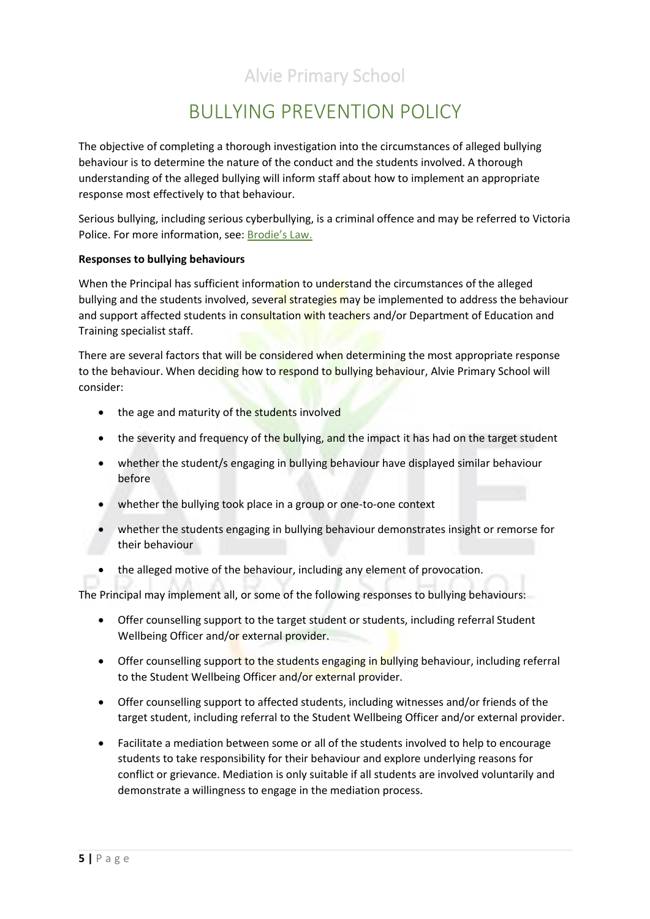# BULLYING PREVENTION POLICY

The objective of completing a thorough investigation into the circumstances of alleged bullying behaviour is to determine the nature of the conduct and the students involved. A thorough understanding of the alleged bullying will inform staff about how to implement an appropriate response most effectively to that behaviour.

Serious bullying, including serious cyberbullying, is a criminal offence and may be referred to Victoria Police. For more information, see: B[rodie's Law.](http://www.education.vic.gov.au/about/programs/bullystoppers/Pages/advicesheetbrodieslaw.aspx)

#### **Responses to bullying behaviours**

When the Principal has sufficient information to understand the circumstances of the alleged bullying and the students involved, several strategies may be implemented to address the behaviour and support affected students in consultation with teachers and/or Department of Education and Training specialist staff.

There are several factors that will be considered when determining the most appropriate response to the behaviour. When deciding how to respond to bullying behaviour, Alvie Primary School will consider:

- the age and maturity of the students involved
- the severity and frequency of the bullying, and the impact it has had on the target student
- whether the student/s engaging in bullying behaviour have displayed similar behaviour before
- whether the bullying took place in a group or one-to-one context
- whether the students engaging in bullying behaviour demonstrates insight or remorse for their behaviour
- the alleged motive of the behaviour, including any element of provocation.

The Principal may implement all, or some of the following responses to bullying behaviours:

- Offer counselling support to the target student or students, including referral Student Wellbeing Officer and/or external provider.
- Offer counselling support to the students engaging in bullying behaviour, including referral to the Student Wellbeing Officer and/or external provider.
- Offer counselling support to affected students, including witnesses and/or friends of the target student, including referral to the Student Wellbeing Officer and/or external provider.
- Facilitate a mediation between some or all of the students involved to help to encourage students to take responsibility for their behaviour and explore underlying reasons for conflict or grievance. Mediation is only suitable if all students are involved voluntarily and demonstrate a willingness to engage in the mediation process.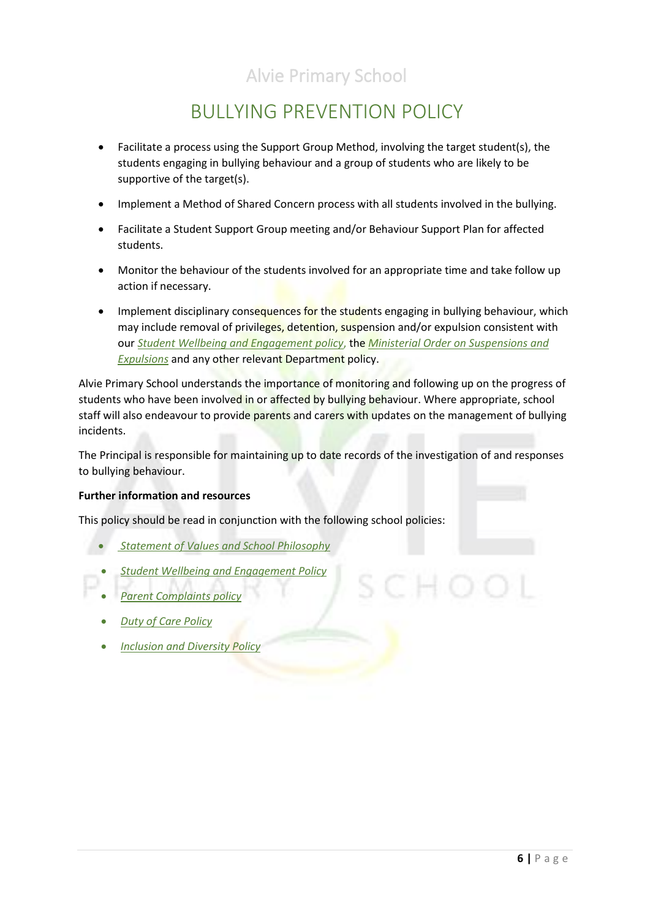# BULLYING PREVENTION POLICY

- Facilitate a process using the Support Group Method, involving the target student(s), the students engaging in bullying behaviour and a group of students who are likely to be supportive of the target(s).
- Implement a Method of Shared Concern process with all students involved in the bullying.
- Facilitate a Student Support Group meeting and/or Behaviour Support Plan for affected students.
- Monitor the behaviour of the students involved for an appropriate time and take follow up action if necessary.
- Implement disciplinary consequences for the students engaging in bullying behaviour, which may include removal of privileges, detention, suspension and/or expulsion consistent with our *[Student Wellbeing and Engagement policy](file://///6201AFS01/Users/POLICIES/To%20be%20updated/Student%20Wellbeing%20and%20Engagement%20Policy%202019.pdf)*, the *[Ministerial Order on Suspensions and](file://///6201AFS01/Users/POLICIES/To%20be%20updated/bullying%20prevention_minorder625.PDF)  [Expulsions](file://///6201AFS01/Users/POLICIES/To%20be%20updated/bullying%20prevention_minorder625.PDF)* and any other relevant Department policy.

Alvie Primary School understands the importance of monitoring and following up on the progress of students who have been involved in or affected by bullying behaviour. Where appropriate, school staff will also endeavour to provide parents and carers with updates on the management of bullying incidents.

The Principal is responsible for maintaining up to date records of the investigation of and responses to bullying behaviour.

#### **Further information and resources**

This policy should be read in conjunction with the following school policies:

- *[Statement of Values and School Philosophy](file://///6201AFS01/Users/POLICIES/To%20be%20updated/Statement%20of%20Values%20and%20School%20Philosophy%20-%20Policy%20October%202019.pdf)*
- *[Student Wellbeing and Engagement Policy](file://///6201AFS01/Users/POLICIES/To%20be%20updated/Student%20Wellbeing%20and%20Engagement%20Policy%202019.pdf)*
- *[Parent Complaints policy](file://///6201AFS01/Users/POLICIES/.pdf%20POLICIES/Complaints%20Policy%202019.pdf)*
- *[Duty of Care Policy](file://///6201AFS01/Users/POLICIES/.pdf%20POLICIES/Duty%20of%20Care%20Policy%202019.pdf)*
- *[Inclusion and Diversity Policy](file://///6201AFS01/Users/POLICIES/To%20be%20updated/Inclusion%20&%20Diversity%20Policy%202019.pdf)*